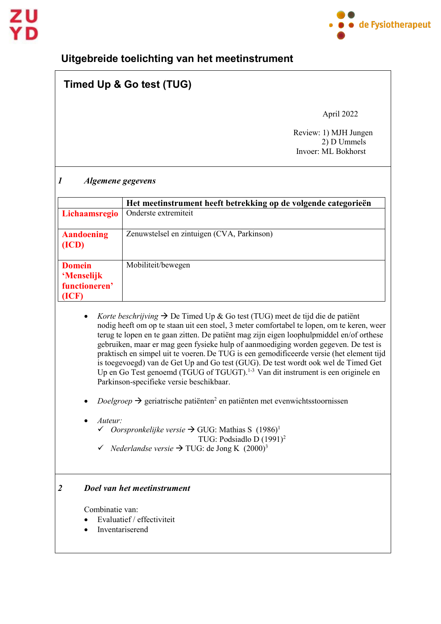

## **Uitgebreide toelichting van het meetinstrument**

# **Timed Up & Go test (TUG)**

April 2022

 Review: 1) MJH Jungen 2) D Ummels Invoer: ML Bokhorst

#### *1 Algemene gegevens*

|                                                             | Het meetinstrument heeft betrekking op de volgende categorieën |
|-------------------------------------------------------------|----------------------------------------------------------------|
| Lichaamsregio                                               | Onderste extremiteit                                           |
| <b>Aandoening</b><br>(ICD)                                  | Zenuwstelsel en zintuigen (CVA, Parkinson)                     |
| <b>Domein</b><br><b>Menselijk</b><br>functioneren'<br>(ICF) | Mobiliteit/bewegen                                             |

- *Korte beschrijving*  $\rightarrow$  De Timed Up & Go test (TUG) meet de tijd die de patiënt nodig heeft om op te staan uit een stoel, 3 meter comfortabel te lopen, om te keren, weer terug te lopen en te gaan zitten. De patiënt mag zijn eigen loophulpmiddel en/of orthese gebruiken, maar er mag geen fysieke hulp of aanmoediging worden gegeven. De test is praktisch en simpel uit te voeren. De TUG is een gemodificeerde versie (het element tijd is toegevoegd) van de Get Up and Go test (GUG). De test wordt ook wel de Timed Get Up en Go Test genoemd (TGUG of TGUGT).<sup>1-3</sup> Van dit instrument is een originele en Parkinson-specifieke versie beschikbaar.
- $Doelgroep \rightarrow$  geriatrische patiënten<sup>2</sup> en patiënten met evenwichtsstoornissen
- *Auteur:*
	- $\checkmark$  Oorspronkelijke versie  $\Rightarrow$  GUG: Mathias S (1986)<sup>1</sup>
		- TUG: Podsiadlo D (1991)2
	- $\checkmark$  *Nederlandse versie*  $\to$  TUG: de Jong K (2000)<sup>3</sup>

#### *2 Doel van het meetinstrument*

Combinatie van:

- Evaluatief / effectiviteit
- **Inventariserend**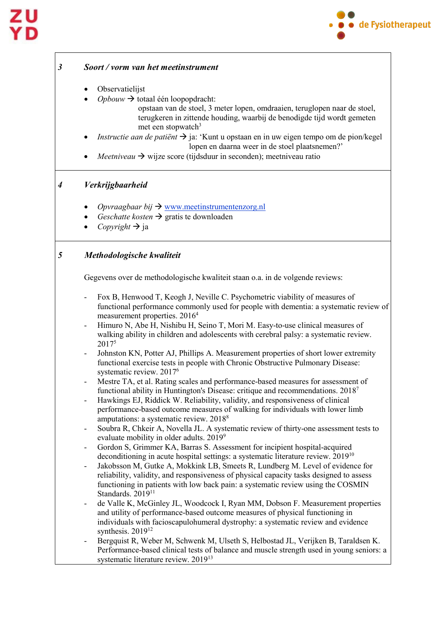

### *3 Soort / vorm van het meetinstrument* • Observatielijst  $Opbouw \rightarrow$  totaal één loopopdracht: opstaan van de stoel, 3 meter lopen, omdraaien, teruglopen naar de stoel, terugkeren in zittende houding, waarbij de benodigde tijd wordt gemeten met een stopwatch $3$ • *Instructie aan de patiënt*  ja: 'Kunt u opstaan en in uw eigen tempo om de pion/kegel lopen en daarna weer in de stoel plaatsnemen?' *Meetniveau*  $\rightarrow$  wijze score (tijdsduur in seconden); meetniveau ratio *4 Verkrijgbaarheid*  • *Opvraagbaar bij*  [www.meetinstrumentenzorg.nl](http://www.meetinstrumentenzorg.nl/)  *Geschatte kosten* → gratis te downloaden *Copyright*  $\rightarrow$  ja *5 Methodologische kwaliteit*  Gegevens over de methodologische kwaliteit staan o.a. in de volgende reviews: - Fox B, Henwood T, Keogh J, Neville C. Psychometric viability of measures of functional performance commonly used for people with dementia: a systematic review of measurement properties. 20164 Himuro N, Abe H, Nishibu H, Seino T, Mori M. Easy-to-use clinical measures of walking ability in children and adolescents with cerebral palsy: a systematic review. 20175 Johnston KN, Potter AJ, Phillips A. Measurement properties of short lower extremity functional exercise tests in people with Chronic Obstructive Pulmonary Disease: systematic review. 20176 Mestre TA, et al. Rating scales and performance-based measures for assessment of functional ability in Huntington's Disease: critique and recommendations. 20187 Hawkings EJ, Riddick W. Reliability, validity, and responsiveness of clinical performance-based outcome measures of walking for individuals with lower limb amputations: a systematic review. 20188 Soubra R, Chkeir A, Novella JL. A systematic review of thirty-one assessment tests to evaluate mobility in older adults. 2019<sup>9</sup> - Gordon S, Grimmer KA, Barras S. Assessment for incipient hospital-acquired deconditioning in acute hospital settings: a systematic literature review. 2019<sup>10</sup> Jakobsson M, Gutke A, Mokkink LB, Smeets R, Lundberg M. Level of evidence for reliability, validity, and responsiveness of physical capacity tasks designed to assess functioning in patients with low back pain: a systematic review using the COSMIN Standards. 2019<sup>11</sup> de Valle K, McGinley JL, Woodcock I, Ryan MM, Dobson F. Measurement properties and utility of performance-based outcome measures of physical functioning in individuals with facioscapulohumeral dystrophy: a systematic review and evidence synthesis. 2019<sup>12</sup> - Bergquist R, Weber M, Schwenk M, Ulseth S, Helbostad JL, Verijken B, Taraldsen K. Performance-based clinical tests of balance and muscle strength used in young seniors: a systematic literature review. 2019<sup>13</sup>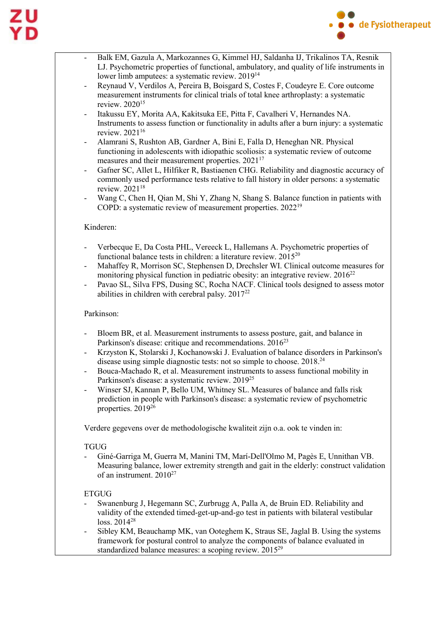

- Balk EM, Gazula A, Markozannes G, Kimmel HJ, Saldanha IJ, Trikalinos TA, Resnik LJ. Psychometric properties of functional, ambulatory, and quality of life instruments in lower limb amputees: a systematic review. 201914
- Reynaud V, Verdilos A, Pereira B, Boisgard S, Costes F, Coudeyre E. Core outcome measurement instruments for clinical trials of total knee arthroplasty: a systematic review. 202015
- Itakussu EY, Morita AA, Kakitsuka EE, Pitta F, Cavalheri V, Hernandes NA. Instruments to assess function or functionality in adults after a burn injury: a systematic review. 202116
- Alamrani S, Rushton AB, Gardner A, Bini E, Falla D, Heneghan NR. Physical functioning in adolescents with idiopathic scoliosis: a systematic review of outcome measures and their measurement properties. 202117
- Gafner SC, Allet L, Hilfiker R, Bastiaenen CHG. Reliability and diagnostic accuracy of commonly used performance tests relative to fall history in older persons: a systematic review. 202118
- Wang C, Chen H, Qian M, Shi Y, Zhang N, Shang S. Balance function in patients with COPD: a systematic review of measurement properties. 202219

#### Kinderen:

- Verbecque E, Da Costa PHL, Vereeck L, Hallemans A. Psychometric properties of functional balance tests in children: a literature review. 201520
- Mahaffey R, Morrison SC, Stephensen D, Drechsler WI. Clinical outcome measures for monitoring physical function in pediatric obesity: an integrative review. 2016<sup>22</sup>
- Pavao SL, Silva FPS, Dusing SC, Rocha NACF. Clinical tools designed to assess motor abilities in children with cerebral palsy.  $2017^{22}$

#### Parkinson:

- Bloem BR, et al. Measurement instruments to assess posture, gait, and balance in Parkinson's disease: critique and recommendations. 2016<sup>23</sup>
- Krzyston K, Stolarski J, Kochanowski J. Evaluation of balance disorders in Parkinson's disease using simple diagnostic tests: not so simple to choose. 2018.24
- Bouca-Machado R, et al. Measurement instruments to assess functional mobility in Parkinson's disease: a systematic review. 201925
- Winser SJ, Kannan P, Bello UM, Whitney SL. Measures of balance and falls risk prediction in people with Parkinson's disease: a systematic review of psychometric properties. 201926

Verdere gegevens over de methodologische kwaliteit zijn o.a. ook te vinden in:

#### **TGUG**

- Giné-Garriga M, Guerra M, Manini TM, Marí-Dell'Olmo M, Pagès E, Unnithan VB. Measuring balance, lower extremity strength and gait in the elderly: construct validation of an instrument.  $2010^{27}$ 

#### ETGUG

- Swanenburg J, Hegemann SC, Zurbrugg A, Palla A, de Bruin ED. Reliability and validity of the extended timed-get-up-and-go test in patients with bilateral vestibular loss. 201428
- Sibley KM, Beauchamp MK, van Ooteghem K, Straus SE, Jaglal B. Using the systems framework for postural control to analyze the components of balance evaluated in standardized balance measures: a scoping review. 201529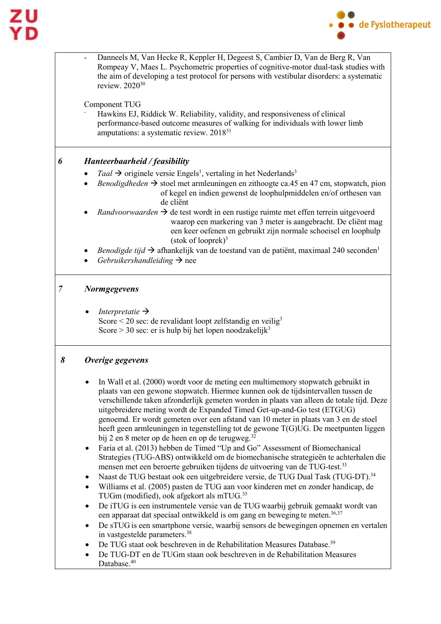

|   | Danneels M, Van Hecke R, Keppler H, Degeest S, Cambier D, Van de Berg R, Van<br>Rompeay V, Maes L. Psychometric properties of cognitive-motor dual-task studies with<br>the aim of developing a test protocol for persons with vestibular disorders: a systematic<br>review. 2020 <sup>30</sup><br>Component TUG<br>Hawkins EJ, Riddick W. Reliability, validity, and responsiveness of clinical<br>performance-based outcome measures of walking for individuals with lower limb<br>amputations: a systematic review. 2018 <sup>31</sup>                                                                                                                                                                                                                                                                                                                                                                                                                                                                                                                                                                                                                                                                                                                                                                                                                                                                                                                                                                                                                                                                                                                      |  |
|---|----------------------------------------------------------------------------------------------------------------------------------------------------------------------------------------------------------------------------------------------------------------------------------------------------------------------------------------------------------------------------------------------------------------------------------------------------------------------------------------------------------------------------------------------------------------------------------------------------------------------------------------------------------------------------------------------------------------------------------------------------------------------------------------------------------------------------------------------------------------------------------------------------------------------------------------------------------------------------------------------------------------------------------------------------------------------------------------------------------------------------------------------------------------------------------------------------------------------------------------------------------------------------------------------------------------------------------------------------------------------------------------------------------------------------------------------------------------------------------------------------------------------------------------------------------------------------------------------------------------------------------------------------------------|--|
|   |                                                                                                                                                                                                                                                                                                                                                                                                                                                                                                                                                                                                                                                                                                                                                                                                                                                                                                                                                                                                                                                                                                                                                                                                                                                                                                                                                                                                                                                                                                                                                                                                                                                                |  |
| 6 | Hanteerbaarheid / feasibility                                                                                                                                                                                                                                                                                                                                                                                                                                                                                                                                                                                                                                                                                                                                                                                                                                                                                                                                                                                                                                                                                                                                                                                                                                                                                                                                                                                                                                                                                                                                                                                                                                  |  |
|   | Taal $\rightarrow$ originele versie Engels <sup>1</sup> , vertaling in het Nederlands <sup>3</sup><br>Benodigdheden $\rightarrow$ stoel met armleuningen en zithoogte ca.45 en 47 cm, stopwatch, pion<br>of kegel en indien gewenst de loophulpmiddelen en/of orthesen van<br>de cliënt                                                                                                                                                                                                                                                                                                                                                                                                                                                                                                                                                                                                                                                                                                                                                                                                                                                                                                                                                                                                                                                                                                                                                                                                                                                                                                                                                                        |  |
|   | <i>Randvoorwaarden</i> $\rightarrow$ de test wordt in een rustige ruimte met effen terrein uitgevoerd<br>waarop een markering van 3 meter is aangebracht. De cliënt mag<br>een keer oefenen en gebruikt zijn normale schoeisel en loophulp<br>$(\text{stok of looprek})^3$                                                                                                                                                                                                                                                                                                                                                                                                                                                                                                                                                                                                                                                                                                                                                                                                                                                                                                                                                                                                                                                                                                                                                                                                                                                                                                                                                                                     |  |
|   | Benodigde tijd $\rightarrow$ afhankelijk van de toestand van de patiënt, maximaal 240 seconden <sup>1</sup><br>Gebruikershandleiding $\rightarrow$ nee                                                                                                                                                                                                                                                                                                                                                                                                                                                                                                                                                                                                                                                                                                                                                                                                                                                                                                                                                                                                                                                                                                                                                                                                                                                                                                                                                                                                                                                                                                         |  |
| 7 | <b>Normgegevens</b>                                                                                                                                                                                                                                                                                                                                                                                                                                                                                                                                                                                                                                                                                                                                                                                                                                                                                                                                                                                                                                                                                                                                                                                                                                                                                                                                                                                                                                                                                                                                                                                                                                            |  |
|   | Interpretatie $\rightarrow$<br>Score $\leq$ 20 sec: de revalidant loopt zelfstandig en veilig <sup>3</sup><br>Score > 30 sec: er is hulp bij het lopen noodzakelijk <sup>3</sup>                                                                                                                                                                                                                                                                                                                                                                                                                                                                                                                                                                                                                                                                                                                                                                                                                                                                                                                                                                                                                                                                                                                                                                                                                                                                                                                                                                                                                                                                               |  |
| 8 | Overige gegevens                                                                                                                                                                                                                                                                                                                                                                                                                                                                                                                                                                                                                                                                                                                                                                                                                                                                                                                                                                                                                                                                                                                                                                                                                                                                                                                                                                                                                                                                                                                                                                                                                                               |  |
|   | In Wall et al. (2000) wordt voor de meting een multimemory stopwatch gebruikt in<br>plaats van een gewone stopwatch. Hiermee kunnen ook de tijdsintervallen tussen de<br>verschillende taken afzonderlijk gemeten worden in plaats van alleen de totale tijd. Deze<br>uitgebreidere meting wordt de Expanded Timed Get-up-and-Go test (ETGUG)<br>genoemd. Er wordt gemeten over een afstand van 10 meter in plaats van 3 en de stoel<br>heeft geen armleuningen in tegenstelling tot de gewone T(G)UG. De meetpunten liggen<br>bij 2 en 8 meter op de heen en op de terugweg. <sup>32</sup><br>Faria et al. (2013) hebben de Timed "Up and Go" Assessment of Biomechanical<br>$\bullet$<br>Strategies (TUG-ABS) ontwikkeld om de biomechanische strategieën te achterhalen die<br>mensen met een beroerte gebruiken tijdens de uitvoering van de TUG-test. <sup>33</sup><br>Naast de TUG bestaat ook een uitgebreidere versie, de TUG Dual Task (TUG-DT). <sup>34</sup><br>٠<br>Williams et al. (2005) pasten de TUG aan voor kinderen met en zonder handicap, de<br>$\bullet$<br>TUGm (modified), ook afgekort als mTUG. <sup>35</sup><br>De iTUG is een instrumentele versie van de TUG waarbij gebruik gemaakt wordt van<br>٠<br>een apparaat dat speciaal ontwikkeld is om gang en beweging te meten. <sup>36,37</sup><br>De sTUG is een smartphone versie, waarbij sensors de bewegingen opnemen en vertalen<br>٠<br>in vastgestelde parameters. <sup>38</sup><br>De TUG staat ook beschreven in de Rehabilitation Measures Database. <sup>39</sup><br>De TUG-DT en de TUGm staan ook beschreven in de Rehabilitation Measures<br>Database. <sup>40</sup> |  |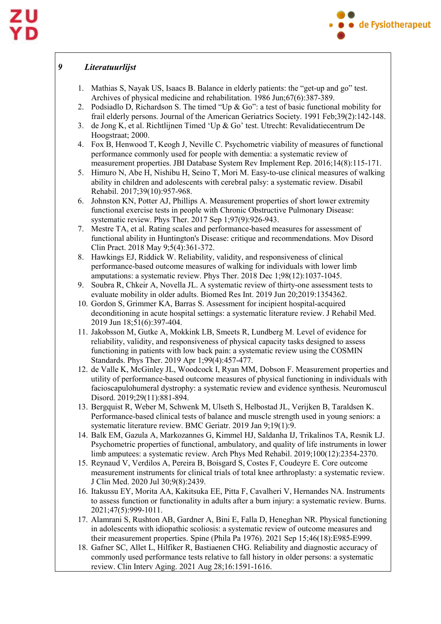

#### *9 Literatuurlijst*

- 1. Mathias S, Nayak US, Isaacs B. Balance in elderly patients: the "get-up and go" test. Archives of physical medicine and rehabilitation. 1986 Jun;67(6):387-389.
- 2. Podsiadlo D, Richardson S. The timed "Up & Go": a test of basic functional mobility for frail elderly persons. Journal of the American Geriatrics Society. 1991 Feb;39(2):142-148.
- 3. de Jong K, et al. Richtlijnen Timed 'Up & Go' test. Utrecht: Revalidatiecentrum De Hoogstraat; 2000.
- 4. Fox B, Henwood T, Keogh J, Neville C. Psychometric viability of measures of functional performance commonly used for people with dementia: a systematic review of measurement properties. JBI Database System Rev Implement Rep. 2016;14(8):115-171.
- 5. Himuro N, Abe H, Nishibu H, Seino T, Mori M. Easy-to-use clinical measures of walking ability in children and adolescents with cerebral palsy: a systematic review. Disabil Rehabil. 2017;39(10):957-968.
- 6. Johnston KN, Potter AJ, Phillips A. Measurement properties of short lower extremity functional exercise tests in people with Chronic Obstructive Pulmonary Disease: systematic review. Phys Ther. 2017 Sep 1;97(9):926-943.
- 7. Mestre TA, et al. Rating scales and performance-based measures for assessment of functional ability in Huntington's Disease: critique and recommendations. Mov Disord Clin Pract. 2018 May 9;5(4):361-372.
- 8. Hawkings EJ, Riddick W. Reliability, validity, and responsiveness of clinical performance-based outcome measures of walking for individuals with lower limb amputations: a systematic review. Phys Ther. 2018 Dec 1;98(12):1037-1045.
- 9. Soubra R, Chkeir A, Novella JL. A systematic review of thirty-one assessment tests to evaluate mobility in older adults. Biomed Res Int. 2019 Jun 20;2019:1354362.
- 10. Gordon S, Grimmer KA, Barras S. Assessment for incipient hospital-acquired deconditioning in acute hospital settings: a systematic literature review. J Rehabil Med. 2019 Jun 18;51(6):397-404.
- 11. Jakobsson M, Gutke A, Mokkink LB, Smeets R, Lundberg M. Level of evidence for reliability, validity, and responsiveness of physical capacity tasks designed to assess functioning in patients with low back pain: a systematic review using the COSMIN Standards. Phys Ther. 2019 Apr 1;99(4):457-477.
- 12. de Valle K, McGinley JL, Woodcock I, Ryan MM, Dobson F. Measurement properties and utility of performance-based outcome measures of physical functioning in individuals with facioscapulohumeral dystrophy: a systematic review and evidence synthesis. Neuromuscul Disord. 2019;29(11):881-894.
- 13. Bergquist R, Weber M, Schwenk M, Ulseth S, Helbostad JL, Verijken B, Taraldsen K. Performance-based clinical tests of balance and muscle strength used in young seniors: a systematic literature review. BMC Geriatr. 2019 Jan 9;19(1):9.
- 14. Balk EM, Gazula A, Markozannes G, Kimmel HJ, Saldanha IJ, Trikalinos TA, Resnik LJ. Psychometric properties of functional, ambulatory, and quality of life instruments in lower limb amputees: a systematic review. Arch Phys Med Rehabil. 2019;100(12):2354-2370.
- 15. Reynaud V, Verdilos A, Pereira B, Boisgard S, Costes F, Coudeyre E. Core outcome measurement instruments for clinical trials of total knee arthroplasty: a systematic review. J Clin Med. 2020 Jul 30;9(8):2439.
- 16. Itakussu EY, Morita AA, Kakitsuka EE, Pitta F, Cavalheri V, Hernandes NA. Instruments to assess function or functionality in adults after a burn injury: a systematic review. Burns. 2021;47(5):999-1011.
- 17. Alamrani S, Rushton AB, Gardner A, Bini E, Falla D, Heneghan NR. Physical functioning in adolescents with idiopathic scoliosis: a systematic review of outcome measures and their measurement properties. Spine (Phila Pa 1976). 2021 Sep 15;46(18):E985-E999.
- 18. Gafner SC, Allet L, Hilfiker R, Bastiaenen CHG. Reliability and diagnostic accuracy of commonly used performance tests relative to fall history in older persons: a systematic review. Clin Interv Aging. 2021 Aug 28;16:1591-1616.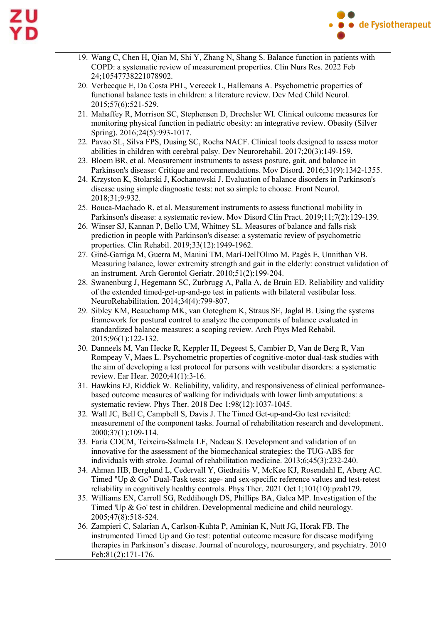

- 19. Wang C, Chen H, Qian M, Shi Y, Zhang N, Shang S. Balance function in patients with COPD: a systematic review of measurement properties. Clin Nurs Res. 2022 Feb 24;10547738221078902.
- 20. Verbecque E, Da Costa PHL, Vereeck L, Hallemans A. Psychometric properties of functional balance tests in children: a literature review. Dev Med Child Neurol. 2015;57(6):521-529.
- 21. Mahaffey R, Morrison SC, Stephensen D, Drechsler WI. Clinical outcome measures for monitoring physical function in pediatric obesity: an integrative review. Obesity (Silver Spring). 2016;24(5):993-1017.
- 22. Pavao SL, Silva FPS, Dusing SC, Rocha NACF. Clinical tools designed to assess motor abilities in children with cerebral palsy. Dev Neurorehabil. 2017;20(3):149-159.
- 23. Bloem BR, et al. Measurement instruments to assess posture, gait, and balance in Parkinson's disease: Critique and recommendations. Mov Disord. 2016;31(9):1342-1355.
- 24. Krzyston K, Stolarski J, Kochanowski J. Evaluation of balance disorders in Parkinson's disease using simple diagnostic tests: not so simple to choose. Front Neurol. 2018;31;9:932.
- 25. Bouca-Machado R, et al. Measurement instruments to assess functional mobility in Parkinson's disease: a systematic review. Mov Disord Clin Pract. 2019;11;7(2):129-139.
- 26. Winser SJ, Kannan P, Bello UM, Whitney SL. Measures of balance and falls risk prediction in people with Parkinson's disease: a systematic review of psychometric properties. Clin Rehabil. 2019;33(12):1949-1962.
- 27. Giné-Garriga M, Guerra M, Manini TM, Marí-Dell'Olmo M, Pagès E, Unnithan VB. Measuring balance, lower extremity strength and gait in the elderly: construct validation of an instrument. Arch Gerontol Geriatr. 2010;51(2):199-204.
- 28. Swanenburg J, Hegemann SC, Zurbrugg A, Palla A, de Bruin ED. Reliability and validity of the extended timed-get-up-and-go test in patients with bilateral vestibular loss. NeuroRehabilitation. 2014;34(4):799-807.
- 29. Sibley KM, Beauchamp MK, van Ooteghem K, Straus SE, Jaglal B. Using the systems framework for postural control to analyze the components of balance evaluated in standardized balance measures: a scoping review. Arch Phys Med Rehabil. 2015;96(1):122-132.
- 30. Danneels M, Van Hecke R, Keppler H, Degeest S, Cambier D, Van de Berg R, Van Rompeay V, Maes L. Psychometric properties of cognitive-motor dual-task studies with the aim of developing a test protocol for persons with vestibular disorders: a systematic review. Ear Hear. 2020;41(1):3-16.
- 31. Hawkins EJ, Riddick W. Reliability, validity, and responsiveness of clinical performancebased outcome measures of walking for individuals with lower limb amputations: a systematic review. Phys Ther. 2018 Dec 1;98(12):1037-1045.
- 32. Wall JC, Bell C, Campbell S, Davis J. The Timed Get-up-and-Go test revisited: measurement of the component tasks. Journal of rehabilitation research and development. 2000;37(1):109-114.
- 33. Faria CDCM, Teixeira-Salmela LF, Nadeau S. Development and validation of an innovative for the assessment of the biomechanical strategies: the TUG-ABS for individuals with stroke. Journal of rehabilitation medicine. 2013;6;45(3):232-240.
- 34. Ahman HB, Berglund L, Cedervall Y, Giedraitis V, McKee KJ, Rosendahl E, Aberg AC. Timed "Up & Go" Dual-Task tests: age- and sex-specific reference values and test-retest reliability in cognitively healthy controls. Phys Ther. 2021 Oct 1;101(10):pzab179.
- 35. Williams EN, Carroll SG, Reddihough DS, Phillips BA, Galea MP. Investigation of the Timed 'Up & Go' test in children. Developmental medicine and child neurology. 2005;47(8):518-524.
- 36. Zampieri C, Salarian A, Carlson-Kuhta P, Aminian K, Nutt JG, Horak FB. The instrumented Timed Up and Go test: potential outcome measure for disease modifying therapies in Parkinson's disease. Journal of neurology, neurosurgery, and psychiatry. 2010 Feb;81(2):171-176.